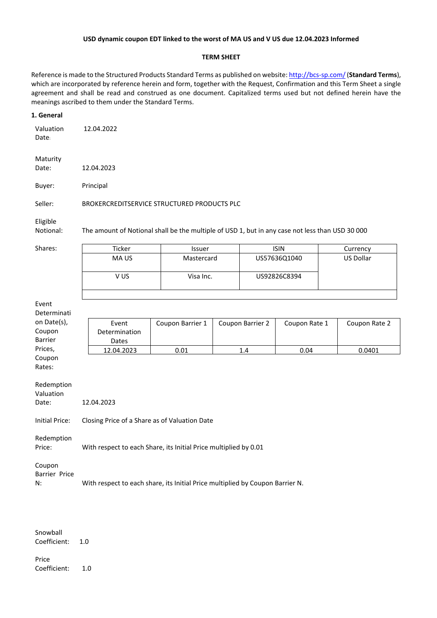### **USD dynamic coupon EDT linked to the worst of MA US and V US due 12.04.2023 Informed**

#### **TERM SHEET**

Reference is made to the Structured Products Standard Terms as published on website:<http://bcs-sp.com/>(**Standard Terms**), which are incorporated by reference herein and form, together with the Request, Confirmation and this Term Sheet a single agreement and shall be read and construed as one document. Capitalized terms used but not defined herein have the meanings ascribed to them under the Standard Terms.

#### **1. General**

| Valuation | 12.04.2022 |
|-----------|------------|
| Date:     |            |

Maturity Date: 12.04.2023

Buyer: Principal

Seller: BROKERCREDITSERVICE STRUCTURED PRODUCTS PLC

Eligible

Notional: The amount of Notional shall be the multiple of USD 1, but in any case not less than USD 30 000

| Shares: | Ticker | Issuer     | <b>ISIN</b>  | Currency  |
|---------|--------|------------|--------------|-----------|
|         | MA US  | Mastercard | US57636Q1040 | US Dollar |
|         |        |            |              |           |
|         | V US   | Visa Inc.  | US92826C8394 |           |
|         |        |            |              |           |
|         |        |            |              |           |

| Event          |                                                                  |                  |                  |               |               |
|----------------|------------------------------------------------------------------|------------------|------------------|---------------|---------------|
| Determinati    |                                                                  |                  |                  |               |               |
| on Date(s),    | Event                                                            | Coupon Barrier 1 | Coupon Barrier 2 | Coupon Rate 1 | Coupon Rate 2 |
| Coupon         | Determination                                                    |                  |                  |               |               |
| <b>Barrier</b> | Dates                                                            |                  |                  |               |               |
| Prices,        | 12.04.2023                                                       | 0.01             | 1.4              | 0.04          | 0.0401        |
| Coupon         |                                                                  |                  |                  |               |               |
| Rates:         |                                                                  |                  |                  |               |               |
|                |                                                                  |                  |                  |               |               |
| Redemption     |                                                                  |                  |                  |               |               |
| Valuation      |                                                                  |                  |                  |               |               |
| Date:          | 12.04.2023                                                       |                  |                  |               |               |
|                |                                                                  |                  |                  |               |               |
| Initial Price: | Closing Price of a Share as of Valuation Date                    |                  |                  |               |               |
|                |                                                                  |                  |                  |               |               |
| Redemption     |                                                                  |                  |                  |               |               |
| Price:         | With respect to each Share, its Initial Price multiplied by 0.01 |                  |                  |               |               |
| Coupon         |                                                                  |                  |                  |               |               |

N: With respect to each share, its Initial Price multiplied by Coupon Barrier N.

Snowball Coefficient: 1.0

Barrier Price

Price Coefficient: 1.0